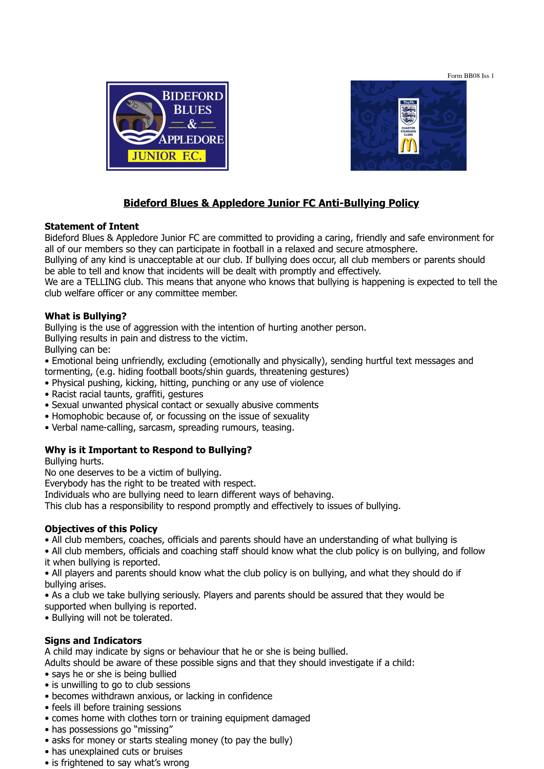Form BB08 Iss 1





# **Bideford Blues & Appledore Junior FC Anti-Bullying Policy**

#### **Statement of Intent**

Bideford Blues & Appledore Junior FC are committed to providing a caring, friendly and safe environment for all of our members so they can participate in football in a relaxed and secure atmosphere.

Bullying of any kind is unacceptable at our club. If bullying does occur, all club members or parents should be able to tell and know that incidents will be dealt with promptly and effectively.

We are a TELLING club. This means that anyone who knows that bullying is happening is expected to tell the club welfare officer or any committee member.

#### **What is Bullying?**

Bullying is the use of aggression with the intention of hurting another person.

Bullying results in pain and distress to the victim.

Bullying can be:

- Emotional being unfriendly, excluding (emotionally and physically), sending hurtful text messages and tormenting, (e.g. hiding football boots/shin guards, threatening gestures)
- Physical pushing, kicking, hitting, punching or any use of violence
- Racist racial taunts, graffiti, gestures
- Sexual unwanted physical contact or sexually abusive comments
- Homophobic because of, or focussing on the issue of sexuality
- Verbal name-calling, sarcasm, spreading rumours, teasing.

### **Why is it Important to Respond to Bullying?**

Bullying hurts.

No one deserves to be a victim of bullying.

Everybody has the right to be treated with respect.

Individuals who are bullying need to learn different ways of behaving.

This club has a responsibility to respond promptly and effectively to issues of bullying.

### **Objectives of this Policy**

• All club members, coaches, officials and parents should have an understanding of what bullying is

• All club members, officials and coaching staff should know what the club policy is on bullying, and follow it when bullying is reported.

• All players and parents should know what the club policy is on bullying, and what they should do if bullying arises.

• As a club we take bullying seriously. Players and parents should be assured that they would be

supported when bullying is reported.

• Bullying will not be tolerated.

### **Signs and Indicators**

A child may indicate by signs or behaviour that he or she is being bullied.

Adults should be aware of these possible signs and that they should investigate if a child:

- says he or she is being bullied
- is unwilling to go to club sessions
- becomes withdrawn anxious, or lacking in confidence
- feels ill before training sessions
- comes home with clothes torn or training equipment damaged
- has possessions go "missing"
- asks for money or starts stealing money (to pay the bully)
- has unexplained cuts or bruises
- is frightened to say what's wrong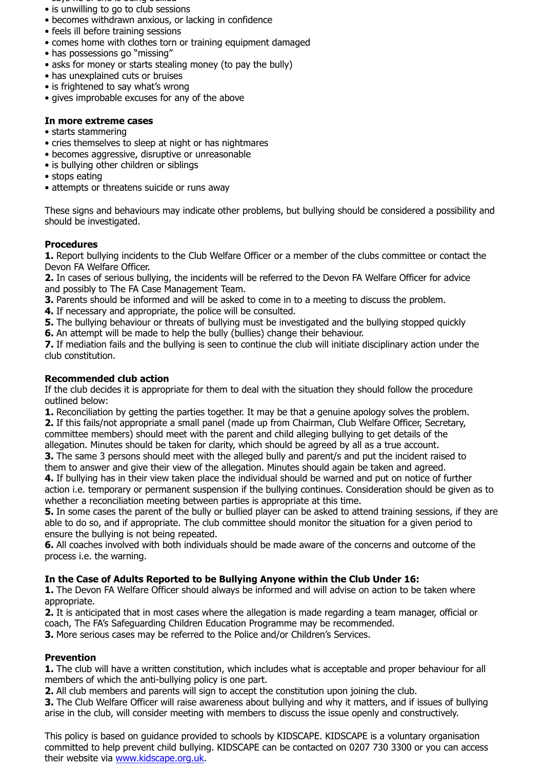- says he or she is being bullied
- is unwilling to go to club sessions
- becomes withdrawn anxious, or lacking in confidence
- feels ill before training sessions
- comes home with clothes torn or training equipment damaged
- has possessions go "missing"
- asks for money or starts stealing money (to pay the bully)
- has unexplained cuts or bruises
- is frightened to say what's wrong
- gives improbable excuses for any of the above

## **In more extreme cases**

- starts stammering
- cries themselves to sleep at night or has nightmares
- becomes aggressive, disruptive or unreasonable
- is bullying other children or siblings
- stops eating
- attempts or threatens suicide or runs away

These signs and behaviours may indicate other problems, but bullying should be considered a possibility and should be investigated.

## **Procedures**

**1.** Report bullying incidents to the Club Welfare Officer or a member of the clubs committee or contact the Devon FA Welfare Officer.

**2.** In cases of serious bullying, the incidents will be referred to the Devon FA Welfare Officer for advice and possibly to The FA Case Management Team.

**3.** Parents should be informed and will be asked to come in to a meeting to discuss the problem.

**4.** If necessary and appropriate, the police will be consulted.

**5.** The bullying behaviour or threats of bullying must be investigated and the bullying stopped quickly

**6.** An attempt will be made to help the bully (bullies) change their behaviour.

**7.** If mediation fails and the bullying is seen to continue the club will initiate disciplinary action under the club constitution.

## **Recommended club action**

If the club decides it is appropriate for them to deal with the situation they should follow the procedure outlined below:

**1.** Reconciliation by getting the parties together. It may be that a genuine apology solves the problem.

**2.** If this fails/not appropriate a small panel (made up from Chairman, Club Welfare Officer, Secretary, committee members) should meet with the parent and child alleging bullying to get details of the

allegation. Minutes should be taken for clarity, which should be agreed by all as a true account.

**3.** The same 3 persons should meet with the alleged bully and parent/s and put the incident raised to them to answer and give their view of the allegation. Minutes should again be taken and agreed.

**4.** If bullying has in their view taken place the individual should be warned and put on notice of further action i.e. temporary or permanent suspension if the bullying continues. Consideration should be given as to whether a reconciliation meeting between parties is appropriate at this time.

**5.** In some cases the parent of the bully or bullied player can be asked to attend training sessions, if they are able to do so, and if appropriate. The club committee should monitor the situation for a given period to ensure the bullying is not being repeated.

**6.** All coaches involved with both individuals should be made aware of the concerns and outcome of the process i.e. the warning.

# **In the Case of Adults Reported to be Bullying Anyone within the Club Under 16:**

**1.** The Devon FA Welfare Officer should always be informed and will advise on action to be taken where appropriate.

**2.** It is anticipated that in most cases where the allegation is made regarding a team manager, official or coach, The FA's Safeguarding Children Education Programme may be recommended. **3.** More serious cases may be referred to the Police and/or Children's Services.

# **Prevention**

**1.** The club will have a written constitution, which includes what is acceptable and proper behaviour for all members of which the anti-bullying policy is one part.

**2.** All club members and parents will sign to accept the constitution upon joining the club.

**3.** The Club Welfare Officer will raise awareness about bullying and why it matters, and if issues of bullying arise in the club, will consider meeting with members to discuss the issue openly and constructively.

This policy is based on guidance provided to schools by KIDSCAPE. KIDSCAPE is a voluntary organisation committed to help prevent child bullying. KIDSCAPE can be contacted on 0207 730 3300 or you can access their website via www.kidscape.org.uk.